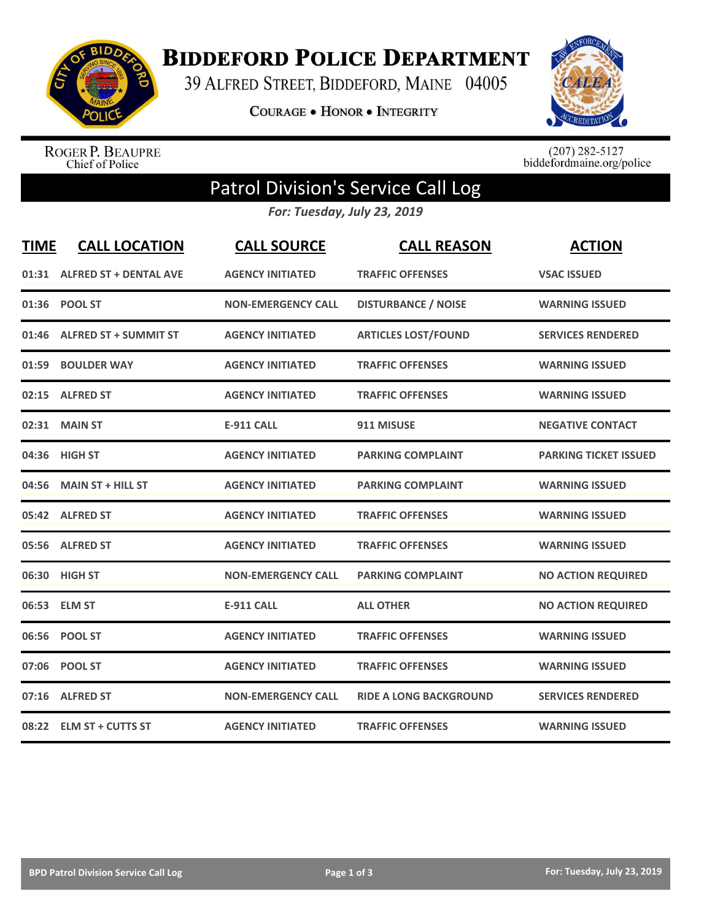

**BIDDEFORD POLICE DEPARTMENT** 

39 ALFRED STREET, BIDDEFORD, MAINE 04005

**COURAGE . HONOR . INTEGRITY** 



ROGER P. BEAUPRE<br>Chief of Police

 $(207)$  282-5127<br>biddefordmaine.org/police

## Patrol Division's Service Call Log

*For: Tuesday, July 23, 2019*

| <b>TIME</b> | <b>CALL LOCATION</b>         | <b>CALL SOURCE</b>        | <b>CALL REASON</b>            | <b>ACTION</b>                |
|-------------|------------------------------|---------------------------|-------------------------------|------------------------------|
|             | 01:31 ALFRED ST + DENTAL AVE | <b>AGENCY INITIATED</b>   | <b>TRAFFIC OFFENSES</b>       | <b>VSAC ISSUED</b>           |
|             | 01:36 POOL ST                | <b>NON-EMERGENCY CALL</b> | <b>DISTURBANCE / NOISE</b>    | <b>WARNING ISSUED</b>        |
|             | 01:46 ALFRED ST + SUMMIT ST  | <b>AGENCY INITIATED</b>   | <b>ARTICLES LOST/FOUND</b>    | <b>SERVICES RENDERED</b>     |
|             | 01:59 BOULDER WAY            | <b>AGENCY INITIATED</b>   | <b>TRAFFIC OFFENSES</b>       | <b>WARNING ISSUED</b>        |
|             | 02:15 ALFRED ST              | <b>AGENCY INITIATED</b>   | <b>TRAFFIC OFFENSES</b>       | <b>WARNING ISSUED</b>        |
|             | 02:31 MAIN ST                | <b>E-911 CALL</b>         | 911 MISUSE                    | <b>NEGATIVE CONTACT</b>      |
|             | 04:36 HIGH ST                | <b>AGENCY INITIATED</b>   | <b>PARKING COMPLAINT</b>      | <b>PARKING TICKET ISSUED</b> |
|             | 04:56 MAIN ST + HILL ST      | <b>AGENCY INITIATED</b>   | <b>PARKING COMPLAINT</b>      | <b>WARNING ISSUED</b>        |
|             | 05:42 ALFRED ST              | <b>AGENCY INITIATED</b>   | <b>TRAFFIC OFFENSES</b>       | <b>WARNING ISSUED</b>        |
|             | 05:56 ALFRED ST              | <b>AGENCY INITIATED</b>   | <b>TRAFFIC OFFENSES</b>       | <b>WARNING ISSUED</b>        |
|             | 06:30 HIGH ST                | <b>NON-EMERGENCY CALL</b> | <b>PARKING COMPLAINT</b>      | <b>NO ACTION REQUIRED</b>    |
|             | 06:53 ELM ST                 | <b>E-911 CALL</b>         | <b>ALL OTHER</b>              | <b>NO ACTION REQUIRED</b>    |
|             | 06:56 POOL ST                | <b>AGENCY INITIATED</b>   | <b>TRAFFIC OFFENSES</b>       | <b>WARNING ISSUED</b>        |
|             | 07:06 POOL ST                | <b>AGENCY INITIATED</b>   | <b>TRAFFIC OFFENSES</b>       | <b>WARNING ISSUED</b>        |
|             | 07:16 ALFRED ST              | <b>NON-EMERGENCY CALL</b> | <b>RIDE A LONG BACKGROUND</b> | <b>SERVICES RENDERED</b>     |
|             | 08:22 ELM ST + CUTTS ST      | <b>AGENCY INITIATED</b>   | <b>TRAFFIC OFFENSES</b>       | <b>WARNING ISSUED</b>        |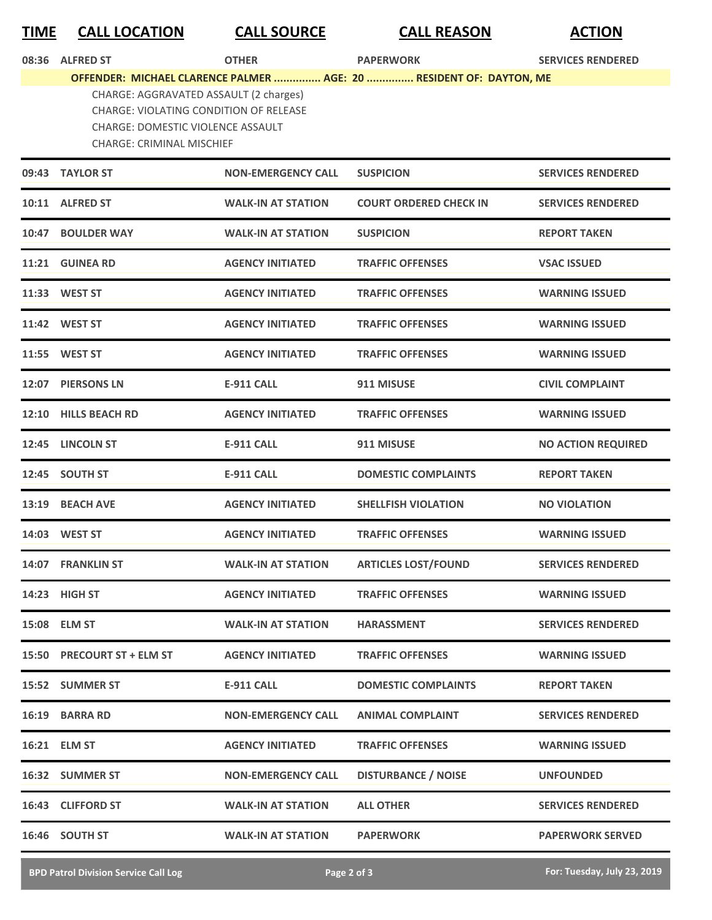## **TIME CALL LOCATION CALL SOURCE CALL REASON ACTION**

| 08:36 ALFRED ST                                                                                                                                                         | <b>OTHER</b>              | <b>PAPERWORK</b>                                                    | <b>SERVICES RENDERED</b>  |
|-------------------------------------------------------------------------------------------------------------------------------------------------------------------------|---------------------------|---------------------------------------------------------------------|---------------------------|
| CHARGE: AGGRAVATED ASSAULT (2 charges)<br><b>CHARGE: VIOLATING CONDITION OF RELEASE</b><br><b>CHARGE: DOMESTIC VIOLENCE ASSAULT</b><br><b>CHARGE: CRIMINAL MISCHIEF</b> |                           | OFFENDER: MICHAEL CLARENCE PALMER  AGE: 20  RESIDENT OF: DAYTON, ME |                           |
| 09:43 TAYLOR ST                                                                                                                                                         | <b>NON-EMERGENCY CALL</b> | <b>SUSPICION</b>                                                    | <b>SERVICES RENDERED</b>  |
| 10:11 ALFRED ST                                                                                                                                                         | <b>WALK-IN AT STATION</b> | <b>COURT ORDERED CHECK IN</b>                                       | <b>SERVICES RENDERED</b>  |
| 10:47 BOULDER WAY                                                                                                                                                       | <b>WALK-IN AT STATION</b> | <b>SUSPICION</b>                                                    | <b>REPORT TAKEN</b>       |
| 11:21 GUINEA RD                                                                                                                                                         | <b>AGENCY INITIATED</b>   | <b>TRAFFIC OFFENSES</b>                                             | <b>VSAC ISSUED</b>        |
| 11:33 WEST ST                                                                                                                                                           | <b>AGENCY INITIATED</b>   | <b>TRAFFIC OFFENSES</b>                                             | <b>WARNING ISSUED</b>     |
| 11:42 WEST ST                                                                                                                                                           | <b>AGENCY INITIATED</b>   | <b>TRAFFIC OFFENSES</b>                                             | <b>WARNING ISSUED</b>     |
| 11:55 WEST ST                                                                                                                                                           | <b>AGENCY INITIATED</b>   | <b>TRAFFIC OFFENSES</b>                                             | <b>WARNING ISSUED</b>     |
| 12:07 PIERSONS LN                                                                                                                                                       | <b>E-911 CALL</b>         | 911 MISUSE                                                          | <b>CIVIL COMPLAINT</b>    |
| 12:10 HILLS BEACH RD                                                                                                                                                    | <b>AGENCY INITIATED</b>   | <b>TRAFFIC OFFENSES</b>                                             | <b>WARNING ISSUED</b>     |
| 12:45 LINCOLN ST                                                                                                                                                        | <b>E-911 CALL</b>         | 911 MISUSE                                                          | <b>NO ACTION REQUIRED</b> |
| 12:45 SOUTH ST                                                                                                                                                          | <b>E-911 CALL</b>         | <b>DOMESTIC COMPLAINTS</b>                                          | <b>REPORT TAKEN</b>       |
| 13:19 BEACH AVE                                                                                                                                                         | <b>AGENCY INITIATED</b>   | <b>SHELLFISH VIOLATION</b>                                          | <b>NO VIOLATION</b>       |
| 14:03 WEST ST                                                                                                                                                           | <b>AGENCY INITIATED</b>   | <b>TRAFFIC OFFENSES</b>                                             | <b>WARNING ISSUED</b>     |
| 14:07 FRANKLIN ST                                                                                                                                                       | <b>WALK-IN AT STATION</b> | <b>ARTICLES LOST/FOUND</b>                                          | <b>SERVICES RENDERED</b>  |
| 14:23 HIGH ST                                                                                                                                                           | <b>AGENCY INITIATED</b>   | <b>TRAFFIC OFFENSES</b>                                             | <b>WARNING ISSUED</b>     |
| 15:08 ELM ST                                                                                                                                                            | <b>WALK-IN AT STATION</b> | <b>HARASSMENT</b>                                                   | <b>SERVICES RENDERED</b>  |
| 15:50 PRECOURT ST + ELM ST                                                                                                                                              | <b>AGENCY INITIATED</b>   | <b>TRAFFIC OFFENSES</b>                                             | <b>WARNING ISSUED</b>     |
| 15:52 SUMMER ST                                                                                                                                                         | E-911 CALL                | <b>DOMESTIC COMPLAINTS</b>                                          | <b>REPORT TAKEN</b>       |
| 16:19 BARRA RD                                                                                                                                                          | <b>NON-EMERGENCY CALL</b> | <b>ANIMAL COMPLAINT</b>                                             | <b>SERVICES RENDERED</b>  |
| 16:21 ELM ST                                                                                                                                                            | <b>AGENCY INITIATED</b>   | <b>TRAFFIC OFFENSES</b>                                             | <b>WARNING ISSUED</b>     |
| 16:32 SUMMER ST                                                                                                                                                         | <b>NON-EMERGENCY CALL</b> | <b>DISTURBANCE / NOISE</b>                                          | <b>UNFOUNDED</b>          |
| 16:43 CLIFFORD ST                                                                                                                                                       | <b>WALK-IN AT STATION</b> | <b>ALL OTHER</b>                                                    | <b>SERVICES RENDERED</b>  |
| 16:46 SOUTH ST                                                                                                                                                          | <b>WALK-IN AT STATION</b> | <b>PAPERWORK</b>                                                    | <b>PAPERWORK SERVED</b>   |